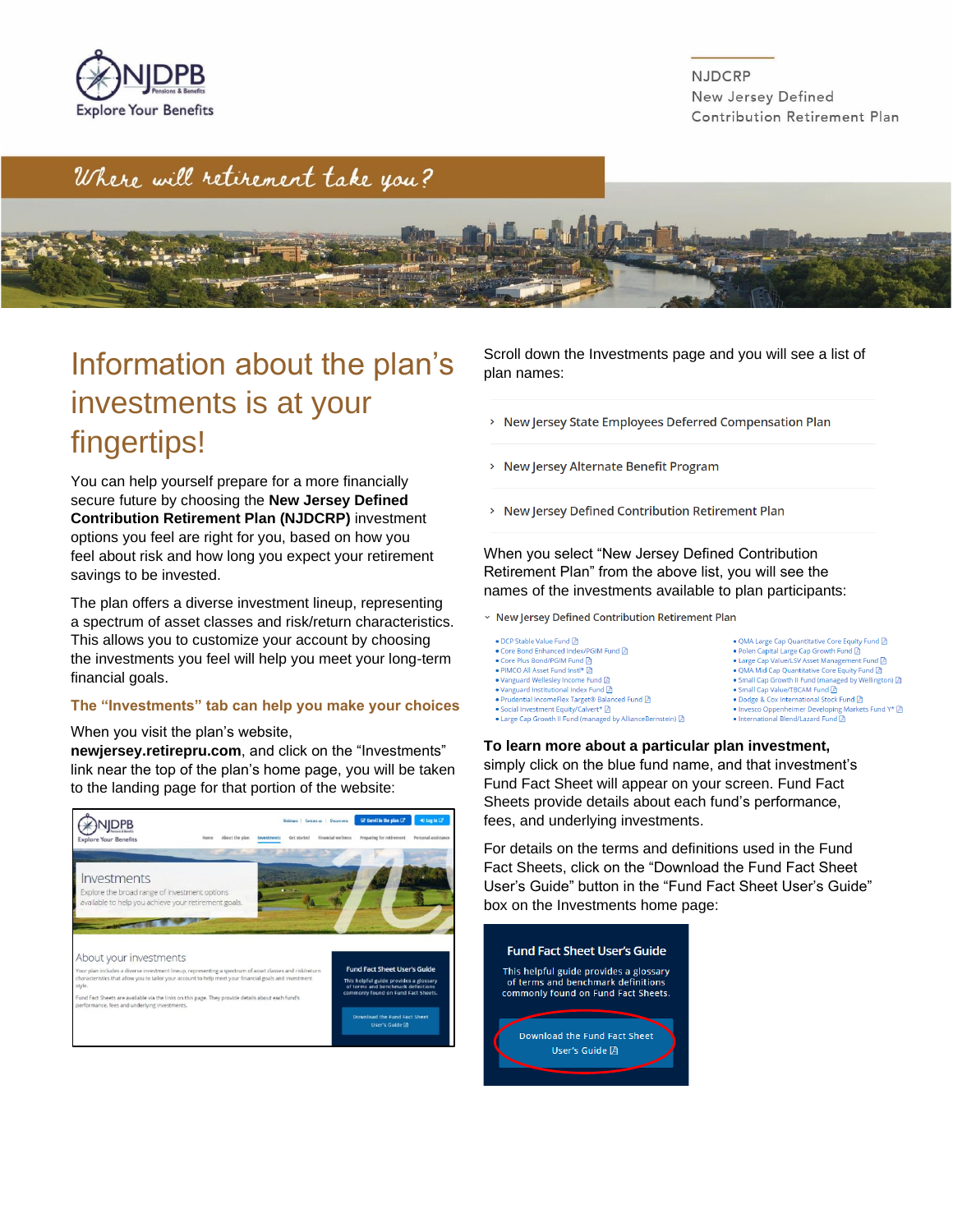

**NJDCRP** New Jersey Defined Contribution Retirement Plan

## Where will retirement take you?



## Information about the plan's investments is at your fingertips!

You can help yourself prepare for a more financially secure future by choosing the **New Jersey Defined Contribution Retirement Plan (NJDCRP)** investment options you feel are right for you, based on how you feel about risk and how long you expect your retirement savings to be invested.

The plan offers a diverse investment lineup, representing a spectrum of asset classes and risk/return characteristics. This allows you to customize your account by choosing the investments you feel will help you meet your long-term financial goals.

#### **The "Investments" tab can help you make your choices**

#### When you visit the plan's website,

**newjersey.retirepru.com**, and click on the "Investments" link near the top of the plan's home page, you will be taken to the landing page for that portion of the website:



Scroll down the Investments page and you will see a list of plan names:

- > New Jersey State Employees Deferred Compensation Plan
- > New Jersey Alternate Benefit Program
- > New Jersey Defined Contribution Retirement Plan

When you select "New Jersey Defined Contribution Retirement Plan" from the above list, you will see the names of the investments available to plan participants:

- v New Jersey Defined Contribution Retirement Plan
- DCP Stable Value Fund <mark>A</mark> ● Core Bond Enhanced Index/PGIM Fund · Core Plus Bond/PGIM Fund D • PIMCO All Asset Fund Instl\* ● Vanguard Wellesley Income Fund  $\mathbb B$ • Vanguard Institutional Index Fund • Prudential IncomeFlex Target® Balanced Fund ● Social Investment Equity/Calvert\* 风 • Large Cap Growth II Fund (managed by AllianceBernstein) 2
- $\bullet$  QMA Large Cap Quantitative Core Equity Fund  $\bar{\boxtimes}$ . Polen Capital Large Cap Growth Fund A • Large Cap Value/LSV Asset Management Fund M • QMA Mid Cap Quantitative Core Equity Fund • Small Cap Growth II Fund (managed by Wellington) (3) • Small Cap Value/TBCAM Fund ■ Dodge & Cox International Stock Fund ● Invesco Oppenheimer Developing Markets Fund Y\* 因 • International Blend/Lazard Fund

#### **To learn more about a particular plan investment,**

simply click on the blue fund name, and that investment's Fund Fact Sheet will appear on your screen. Fund Fact Sheets provide details about each fund's performance, fees, and underlying investments.

For details on the terms and definitions used in the Fund Fact Sheets, click on the "Download the Fund Fact Sheet User's Guide" button in the "Fund Fact Sheet User's Guide" box on the Investments home page:

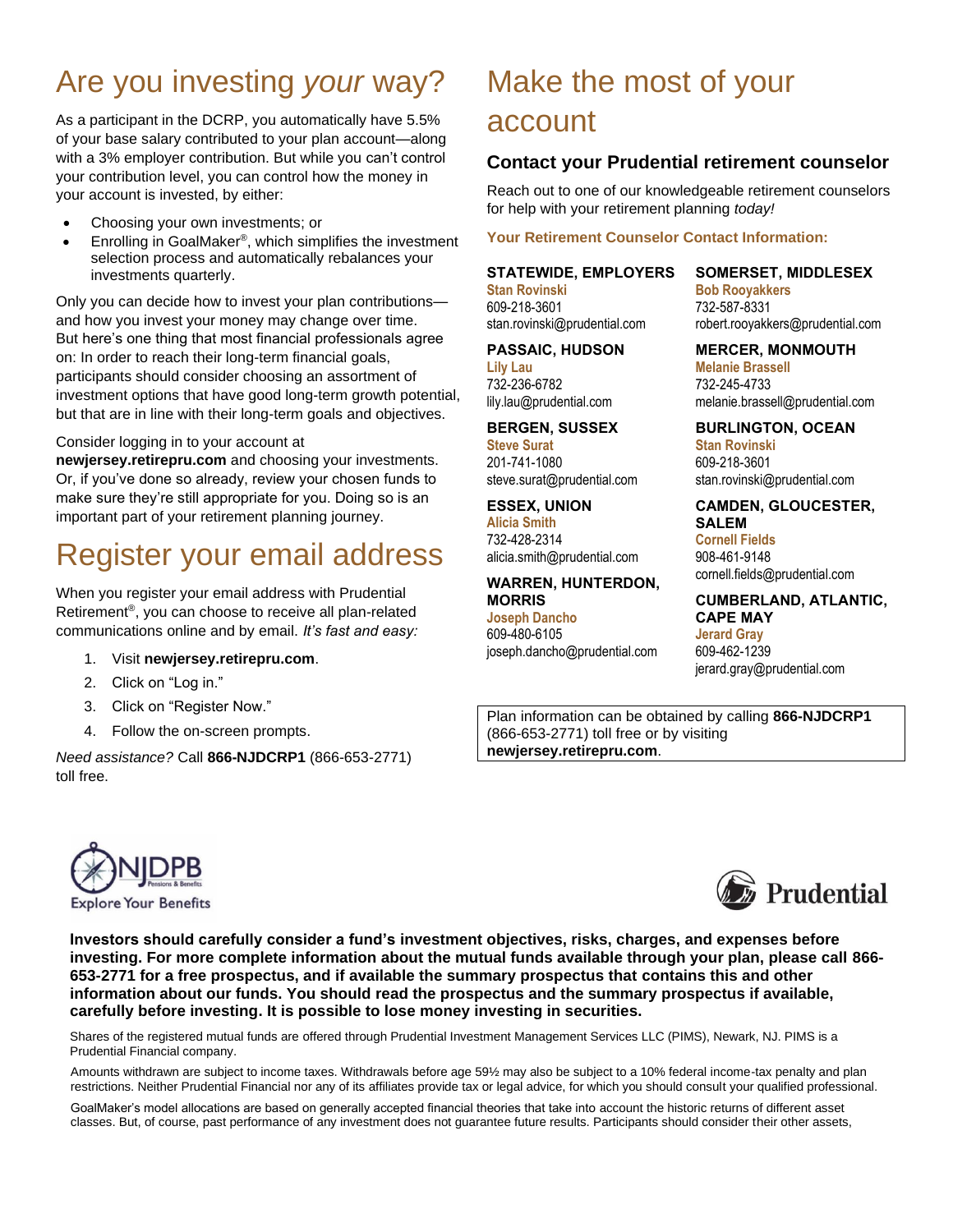# Are you investing *your* way?

As a participant in the DCRP, you automatically have 5.5% of your base salary contributed to your plan account—along with a 3% employer contribution. But while you can't control your contribution level, you can control how the money in your account is invested, by either:

- Choosing your own investments; or
- Enrolling in GoalMaker<sup>®</sup>, which simplifies the investment selection process and automatically rebalances your investments quarterly.

Only you can decide how to invest your plan contributions and how you invest your money may change over time. But here's one thing that most financial professionals agree on: In order to reach their long-term financial goals, participants should consider choosing an assortment of investment options that have good long-term growth potential, but that are in line with their long-term goals and objectives.

### Consider logging in to your account at

**newjersey.retirepru.com** and choosing your investments. Or, if you've done so already, review your chosen funds to make sure they're still appropriate for you. Doing so is an important part of your retirement planning journey.

## Register your email address

When you register your email address with Prudential Retirement® , you can choose to receive all plan-related communications online and by email. *It's fast and easy:*

- 1. Visit **newjersey.retirepru.com**.
- 2. Click on "Log in."
- 3. Click on "Register Now."
- 4. Follow the on-screen prompts.

*Need assistance?* Call **866-NJDCRP1** (866-653-2771) toll free.

# Make the most of your account

## **Contact your Prudential retirement counselor**

Reach out to one of our knowledgeable retirement counselors for help with your retirement planning *today!*

## **Your Retirement Counselor Contact Information:**

## **STATEWIDE, EMPLOYERS**

**Stan Rovinski** 609-218-3601 stan.rovinski@prudential.com

## **PASSAIC, HUDSON**

**Lily Lau** 732-236-6782 lily.lau@prudential.com

## **BERGEN, SUSSEX**

**Steve Surat** 201-741-1080 steve.surat@prudential.com

## **ESSEX, UNION**

**Alicia Smith** 732-428-2314 alicia.smith@prudential.com

### **WARREN, HUNTERDON, MORRIS**

#### **Joseph Dancho** 609-480-6105

joseph.dancho@prudential.com

### **SOMERSET, MIDDLESEX Bob Rooyakkers**

732-587-8331 robert.rooyakkers@prudential.com

**MERCER, MONMOUTH Melanie Brassell** 732-245-4733 melanie.brassell@prudential.com

#### **BURLINGTON, OCEAN Stan Rovinski** 609-218-3601 stan.rovinski@prudential.com

**CAMDEN, GLOUCESTER, SALEM Cornell Fields** 908-461-9148 cornell.fields@prudential.com

## **CUMBERLAND, ATLANTIC, CAPE MAY**

**Jerard Gray** 609-462-1239 jerard.gray@prudential.com

Plan information can be obtained by calling **866-NJDCRP1** (866-653-2771) toll free or by visiting **newjersey.retirepru.com**.





**Investors should carefully consider a fund's investment objectives, risks, charges, and expenses before investing. For more complete information about the mutual funds available through your plan, please call 866- 653-2771 for a free prospectus, and if available the summary prospectus that contains this and other information about our funds. You should read the prospectus and the summary prospectus if available, carefully before investing. It is possible to lose money investing in securities.**

Shares of the registered mutual funds are offered through Prudential Investment Management Services LLC (PIMS), Newark, NJ. PIMS is a Prudential Financial company.

Amounts withdrawn are subject to income taxes. Withdrawals before age 59½ may also be subject to a 10% federal income-tax penalty and plan restrictions. Neither Prudential Financial nor any of its affiliates provide tax or legal advice, for which you should consult your qualified professional.

GoalMaker's model allocations are based on generally accepted financial theories that take into account the historic returns of different asset classes. But, of course, past performance of any investment does not guarantee future results. Participants should consider their other assets,